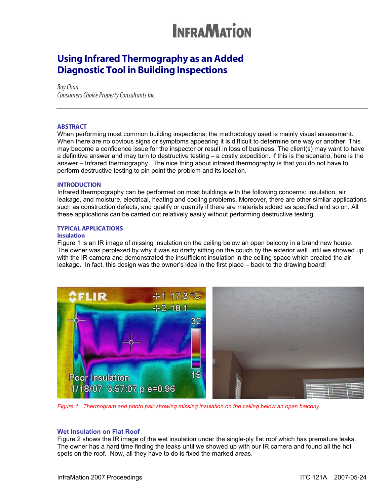### Using Infrared Thermography as an Added Diagnostic Tool in Building Inspections

*Roy Chan Consumers Choice Property Consultants Inc.* 

### **ABSTRACT**

When performing most common building inspections, the methodology used is mainly visual assessment. When there are no obvious signs or symptoms appearing it is difficult to determine one way or another. This may become a confidence issue for the inspector or result in loss of business. The client(s) may want to have a definitive answer and may turn to destructive testing – a costly expedition. If this is the scenario, here is the answer – Infrared thermography. The nice thing about infrared thermography is that you do not have to perform destructive testing to pin point the problem and its location.

#### **INTRODUCTION**

Infrared thermpography can be performed on most buildings with the following concerns: insulation, air leakage, and moisture, electrical, heating and cooling problems. Moreover, there are other similar applications such as construction defects, and qualify or quantify if there are materials added as specified and so on. All these applications can be carried out relatively easily without performing destructive testing.

#### TYPICAL APPLICATIONS

### **Insulation**

Figure 1 is an IR image of missing insulation on the ceiling below an open balcony in a brand new house. The owner was perplexed by why it was so drafty sitting on the couch by the exterior wall until we showed up with the IR camera and demonstrated the insufficient insulation in the ceiling space which created the air leakage. In fact, this design was the owner's idea in the first place – back to the drawing board!



*Figure 1. Thermogram and photo pair showing missing insulation on the ceiling below an open balcony.*

#### **Wet Insulation on Flat Roof**

Figure 2 shows the IR image of the wet insulation under the single-ply flat roof which has premature leaks. The owner has a hard time finding the leaks until we showed up with our IR camera and found all the hot spots on the roof. Now, all they have to do is fixed the marked areas.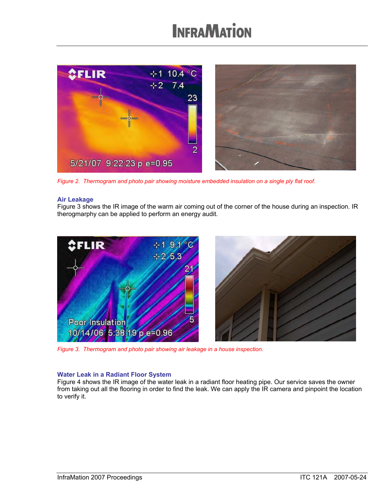

*Figure 2. Thermogram and photo pair showing moisture embedded insulation on a single ply flat roof.*

### **Air Leakage**

Figure 3 shows the IR image of the warm air coming out of the corner of the house during an inspection. IR therogmarphy can be applied to perform an energy audit.



*Figure 3. Thermogram and photo pair showing air leakage in a house inspection.*

### **Water Leak in a Radiant Floor System**

Figure 4 shows the IR image of the water leak in a radiant floor heating pipe. Our service saves the owner from taking out all the flooring in order to find the leak. We can apply the IR camera and pinpoint the location to verify it.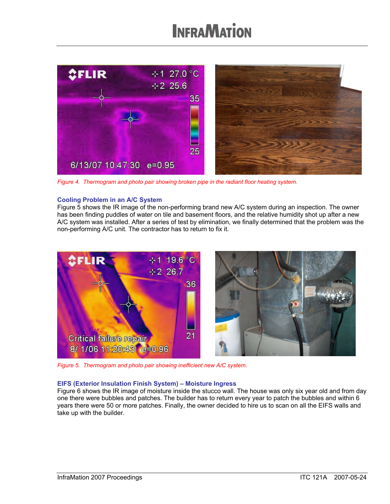

*Figure 4. Thermogram and photo pair showing broken pipe in the radiant floor heating system.*

### **Cooling Problem in an A/C System**

Figure 5 shows the IR image of the non-performing brand new A/C system during an inspection. The owner has been finding puddles of water on tile and basement floors, and the relative humidity shot up after a new A/C system was installed. After a series of test by elimination, we finally determined that the problem was the non-performing A/C unit. The contractor has to return to fix it.



*Figure 5. Thermogram and photo pair showing inefficient new A/C system.*

### **EIFS (Exterior Insulation Finish System) – Moisture Ingress**

Figure 6 shows the IR image of moisture inside the stucco wall. The house was only six year old and from day one there were bubbles and patches. The builder has to return every year to patch the bubbles and within 6 years there were 50 or more patches. Finally, the owner decided to hire us to scan on all the EIFS walls and take up with the builder.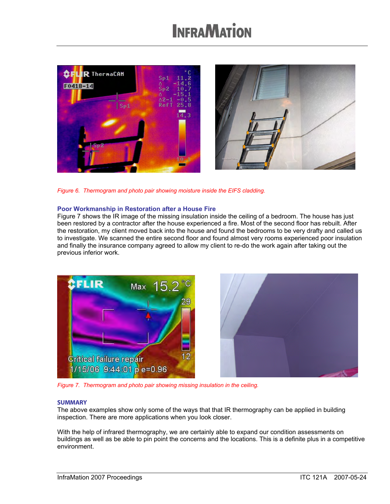

*Figure 6. Thermogram and photo pair showing moisture inside the EIFS cladding.*

### **Poor Workmanship in Restoration after a House Fire**

Figure 7 shows the IR image of the missing insulation inside the ceiling of a bedroom. The house has just been restored by a contractor after the house experienced a fire. Most of the second floor has rebuilt. After the restoration, my client moved back into the house and found the bedrooms to be very drafty and called us to investigate. We scanned the entire second floor and found almost very rooms experienced poor insulation and finally the insurance company agreed to allow my client to re-do the work again after taking out the previous inferior work.



*Figure 7. Thermogram and photo pair showing missing insulation in the ceiling.*

#### **SUMMARY**

The above examples show only some of the ways that that IR thermography can be applied in building inspection. There are more applications when you look closer.

With the help of infrared thermography, we are certainly able to expand our condition assessments on buildings as well as be able to pin point the concerns and the locations. This is a definite plus in a competitive environment.